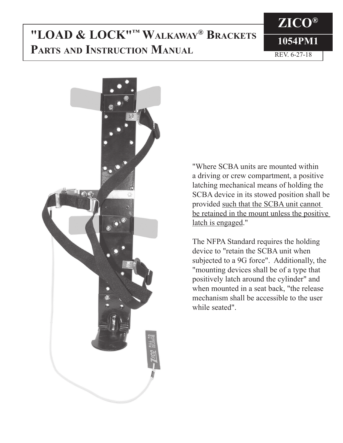# **1054PM1 "LOAD & LOCK"™ Walkaway® Brackets PARTS AND INSTRUCTION MANUAL REV. 6-27-18**





"Where SCBA units are mounted within a driving or crew compartment, a positive latching mechanical means of holding the SCBA device in its stowed position shall be provided such that the SCBA unit cannot be retained in the mount unless the positive latch is engaged."

The NFPA Standard requires the holding device to "retain the SCBA unit when subjected to a 9G force". Additionally, the "mounting devices shall be of a type that positively latch around the cylinder" and when mounted in a seat back, "the release mechanism shall be accessible to the user while seated".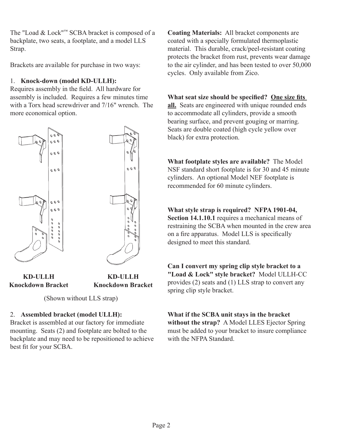The "Load & Lock"™ SCBA bracket is composed of a backplate, two seats, a footplate, and a model LLS Strap.

Brackets are available for purchase in two ways:

### 1. **Knock-down (model KD-ULLH):**

Requires assembly in the field. All hardware for assembly is included. Requires a few minutes time with a Torx head screwdriver and 7/16" wrench. The more economical option.



**Knockdown Bracket**

**KD-ULLH Knockdown Bracket**

(Shown without LLS strap)

## 2. **Assembled bracket (model ULLH):**

Bracket is assembled at our factory for immediate mounting. Seats (2) and footplate are bolted to the backplate and may need to be repositioned to achieve best fit for your SCBA.

**Coating Materials:** All bracket components are coated with a specially formulated thermoplastic material. This durable, crack/peel-resistant coating protects the bracket from rust, prevents wear damage to the air cylinder, and has been tested to over 50,000 cycles. Only available from Zico.

## **What seat size should be specified? One size fits**

**all.** Seats are engineered with unique rounded ends to accommodate all cylinders, provide a smooth bearing surface, and prevent gouging or marring. Seats are double coated (high cycle yellow over black) for extra protection.

**What footplate styles are available?** The Model NSF standard short footplate is for 30 and 45 minute cylinders. An optional Model NEF footplate is recommended for 60 minute cylinders.

**What style strap is required? NFPA 1901-04, Section 14.1.10.1** requires a mechanical means of restraining the SCBA when mounted in the crew area on a fire apparatus. Model LLS is specifically designed to meet this standard.

**Can I convert my spring clip style bracket to a "Load & Lock" style bracket?** Model ULLH-CC provides (2) seats and (1) LLS strap to convert any spring clip style bracket.

**What if the SCBA unit stays in the bracket without the strap?** A Model LLES Ejector Spring must be added to your bracket to insure compliance with the NFPA Standard.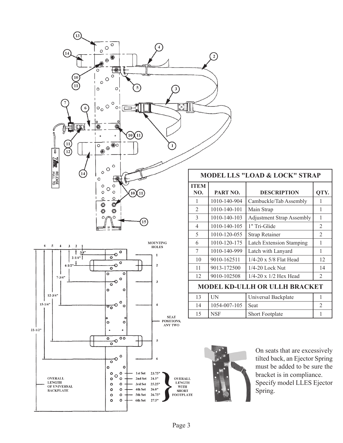

 $\circ$ 

 $\circ$ 

 $\circ$ 

 $\bullet$ 

 $\circ$  $\bullet$ 

 $\circ$ 

۰  $^{\circ}$  $\circ$ 

 $1\,\mathrm{st}\,\mathrm{Set}$ 

2nd Set

3rd Set

4th Set

 $5\mbox{th}$  Set

 $6\rm th$  Set

 $\overline{4}$ 

 $\mathfrak s$ 

 $\boldsymbol{6}$ 

 $23.75"$ 

 $24.5"$ 

 $25.25"$ 

 $26.0"$ 

 $26.75"$ 

 $27.5"$ 

SEAT<br>POSITIONS,<br>ANY TWO

 $\sigma_{\rm o}$ 

 $\circ$ 

k  $\overline{\circ}$  $\frac{1}{\sqrt{2}}$  $\overline{\circ}$ 

 $\overline{\circ}$  $\circ$ 

> $\circ$  $\mathtt{o}$

 $\circ$  $\circ$ 

 $\circ$  $\circ$ 

 $\circ$  $\circ$  $\circ$ 

 $12 - 3/4$ "

OVERALL

 ${\rm LENGTH}$ 

**DENGIN**<br>OF UNIVERSAL<br>BACKPLATE

 $15-1/4"$ 

 $22 - 1/2$ 

| <b>MODEL LLS "LOAD &amp; LOCK" STRAP</b> |              |                                  |                |  |  |
|------------------------------------------|--------------|----------------------------------|----------------|--|--|
| <b>ITEM</b><br>NO.                       | PART NO.     | <b>DESCRIPTION</b>               | QTY.           |  |  |
| 1                                        | 1010-140-904 | Cambuckle/Tab Assembly           | 1              |  |  |
| $\overline{2}$                           | 1010-140-101 | Main Strap                       | 1              |  |  |
| 3                                        | 1010-140-103 | <b>Adjustment Strap Assembly</b> | 1              |  |  |
| 4                                        | 1010-140-105 | 1" Tri-Glide                     | 2              |  |  |
| 5                                        | 1010-120-055 | <b>Strap Retainer</b>            | $\mathfrak{D}$ |  |  |
| 6                                        | 1010-120-175 | <b>Latch Extension Stamping</b>  | 1              |  |  |
| 7                                        | 1010-140-999 | Latch with Lanyard               | 1              |  |  |
| 10                                       | 9010-162511  | $1/4-20 \times 5/8$ Flat Head    | 12             |  |  |
| 11                                       | 9013-172500  | $1/4-20$ Lock Nut                | 14             |  |  |
| 12                                       | 9010-102508  | $1/4 - 20 \times 1/2$ Hex Head   | 2              |  |  |
| <b>MODEL KD-ULLH OR ULLH BRACKET</b>     |              |                                  |                |  |  |
| 13                                       | <b>UN</b>    | Universal Backplate              | 1              |  |  |
| 14                                       | 1054-007-105 | Seat                             | $\mathfrak{D}$ |  |  |
| 15                                       | <b>NSF</b>   | <b>Short Footplate</b>           | 1              |  |  |



On seats that are excessively tilted back, an Ejector Spring must be added to be sure the bracket is in compliance. Specify model LLES Ejector Spring.

OVERALL<br>LENGTH<br>WITH

SHORT<br>FOOTPLATE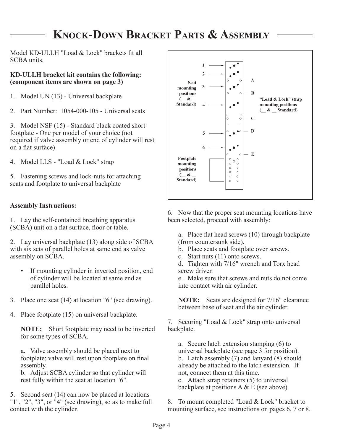## **Knock-Down Bracket Parts & Assembly**

Model KD-ULLH "Load & Lock" brackets fit all SCBA units.

#### **KD-ULLH bracket kit contains the following: (component items are shown on page 3)**

- 1. Model UN (13) Universal backplate
- 2. Part Number: 1054-000-105 Universal seats

3. Model NSF (15) - Standard black coated short footplate - One per model of your choice (not required if valve assembly or end of cylinder will rest on a flat surface)

4. Model LLS - "Load & Lock" strap

5. Fastening screws and lock-nuts for attaching seats and footplate to universal backplate

### **Assembly Instructions:**

1. Lay the self-contained breathing apparatus (SCBA) unit on a flat surface, floor or table.

2. Lay universal backplate (13) along side of SCBA with six sets of parallel holes at same end as valve assembly on SCBA.

- If mounting cylinder in inverted position, end of cylinder will be located at same end as parallel holes.
- 3. Place one seat (14) at location "6" (see drawing).
- 4. Place footplate (15) on universal backplate.

**NOTE:** Short footplate may need to be inverted for some types of SCBA.

a. Valve assembly should be placed next to footplate; valve will rest upon footplate on final assembly.

b. Adjust SCBA cylinder so that cylinder will rest fully within the seat at location "6".

5. Second seat (14) can now be placed at locations "1", "2", "3", or "4" (see drawing), so as to make full contact with the cylinder.



6. Now that the proper seat mounting locations have been selected, proceed with assembly:

a. Place flat head screws (10) through backplate (from countersunk side).

- b. Place seats and footplate over screws.
- c. Start nuts (11) onto screws.

d. Tighten with 7/16" wrench and Torx head screw driver.

e. Make sure that screws and nuts do not come into contact with air cylinder.

**NOTE:** Seats are designed for 7/16" clearance between base of seat and the air cylinder.

7. Securing "Load & Lock" strap onto universal backplate.

a. Secure latch extension stamping (6) to universal backplate (see page 3 for position). b. Latch assembly  $(7)$  and lanyard  $(8)$  should already be attached to the latch extension. If not, connect them at this time.

c. Attach strap retainers (5) to universal backplate at positions  $A \& E$  (see above).

8. To mount completed "Load & Lock" bracket to mounting surface, see instructions on pages 6, 7 or 8.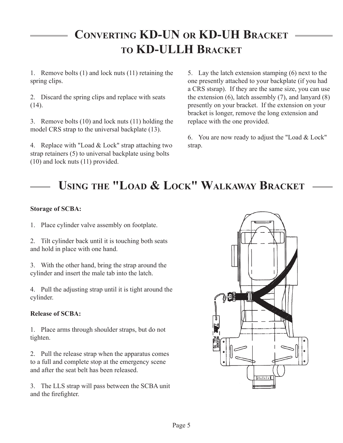# **Converting KD-UN or KD-UH Bracket to KD-ULLH Bracket**

1. Remove bolts (1) and lock nuts (11) retaining the spring clips.

2. Discard the spring clips and replace with seats (14).

3. Remove bolts (10) and lock nuts (11) holding the model CRS strap to the universal backplate (13).

4. Replace with "Load & Lock" strap attaching two strap retainers (5) to universal backplate using bolts (10) and lock nuts (11) provided.

5. Lay the latch extension stamping (6) next to the one presently attached to your backplate (if you had a CRS stsrap). If they are the same size, you can use the extension (6), latch assembly (7), and lanyard (8) presently on your bracket. If the extension on your bracket is longer, remove the long extension and replace with the one provided.

6. You are now ready to adjust the "Load & Lock" strap.

# **Using the "Load & Lock" Walkaway Bracket**

### **Storage of SCBA:**

1. Place cylinder valve assembly on footplate.

2. Tilt cylinder back until it is touching both seats and hold in place with one hand.

3. With the other hand, bring the strap around the cylinder and insert the male tab into the latch.

4. Pull the adjusting strap until it is tight around the cylinder.

## **Release of SCBA:**

1. Place arms through shoulder straps, but do not tighten.

2. Pull the release strap when the apparatus comes to a full and complete stop at the emergency scene and after the seat belt has been released.

3. The LLS strap will pass between the SCBA unit and the firefighter.

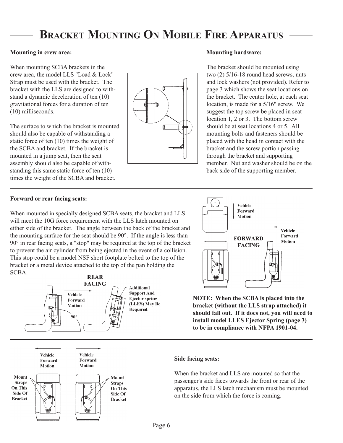## **Bracket Mounting On Mobile Fire Apparatus**

#### **Mounting in crew area:**

When mounting SCBA brackets in the crew area, the model LLS "Load & Lock" Strap must be used with the bracket. The bracket with the LLS are designed to withstand a dynamic deceleration of ten (10) gravitational forces for a duration of ten (10) milliseconds.

The surface to which the bracket is mounted should also be capable of withstanding a static force of ten (10) times the weight of the SCBA and bracket. If the bracket is mounted in a jump seat, then the seat assembly should also be capable of withstanding this same static force of ten (10) times the weight of the SCBA and bracket.



#### **Mounting hardware:**

The bracket should be mounted using two (2) 5/16-18 round head screws, nuts and lock washers (not provided). Refer to page 3 which shows the seat locations on the bracket. The center hole, at each seat location, is made for a 5/16" screw. We suggest the top screw be placed in seat location 1, 2 or 3. The bottom screw should be at seat locations 4 or 5. All mounting bolts and fasteners should be placed with the head in contact with the bracket and the screw portion passing through the bracket and supporting member. Nut and washer should be on the back side of the supporting member.

#### **Forward or rear facing seats:**

When mounted in specially designed SCBA seats, the bracket and LLS will meet the 10G force requirement with the LLS latch mounted on either side of the bracket. The angle between the back of the bracket and the mounting surface for the seat should be 90°. If the angle is less than 90° in rear facing seats, a "stop" may be required at the top of the bracket to prevent the air cylinder from being ejected in the event of a collision. This stop could be a model NSF short footplate bolted to the top of the bracket or a metal device attached to the top of the pan holding the SCBA.



Vehicle Forward **Motion** 



Vehicle

Forward

**Motion** 



**NOTE: When the SCBA is placed into the bracket (without the LLS strap attached) it should fall out. If it does not, you will need to install model LLES Ejector Spring (page 3) to be in compliance with NFPA 1901-04.**

#### **Side facing seats:**

When the bracket and LLS are mounted so that the passenger's side faces towards the front or rear of the apparatus, the LLS latch mechanism must be mounted on the side from which the force is coming.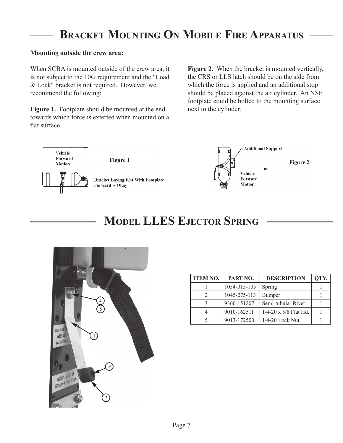## **Bracket Mounting On Mobile Fire Apparatus**

#### **Mounting outside the crew area:**

When SCBA is mounted outside of the crew area, it is not subject to the 10G requirement and the "Load & Lock" bracket is not required. However, we recommend the following:

**Figure 1.** Footplate should be mounted at the end towards which force is exterted when mounted on a flat surface.

**Figure 2.** When the bracket is mounted vertically, the CRS or LLS latch should be on the side from which the force is applied and an additional stop should be placed against the air cylinder. An NSF footplate could be bolted to the mounting surface next to the cylinder.





## **Model LLES Ejector Spring**



| <b>ITEM NO.</b> | PART NO.     | <b>DESCRIPTION</b>             | QTY. |
|-----------------|--------------|--------------------------------|------|
|                 | 1054-015-105 | Spring                         |      |
| 2               | 1045-275-113 | Bumper                         |      |
| κ               | 9360-151207  | Semi-tubular Rivet             |      |
|                 | 9010-162511  | $1/4 - 20 \times 5/8$ Flat Hd. |      |
|                 | 9013-172500  | 1/4-20 Lock Nut                |      |